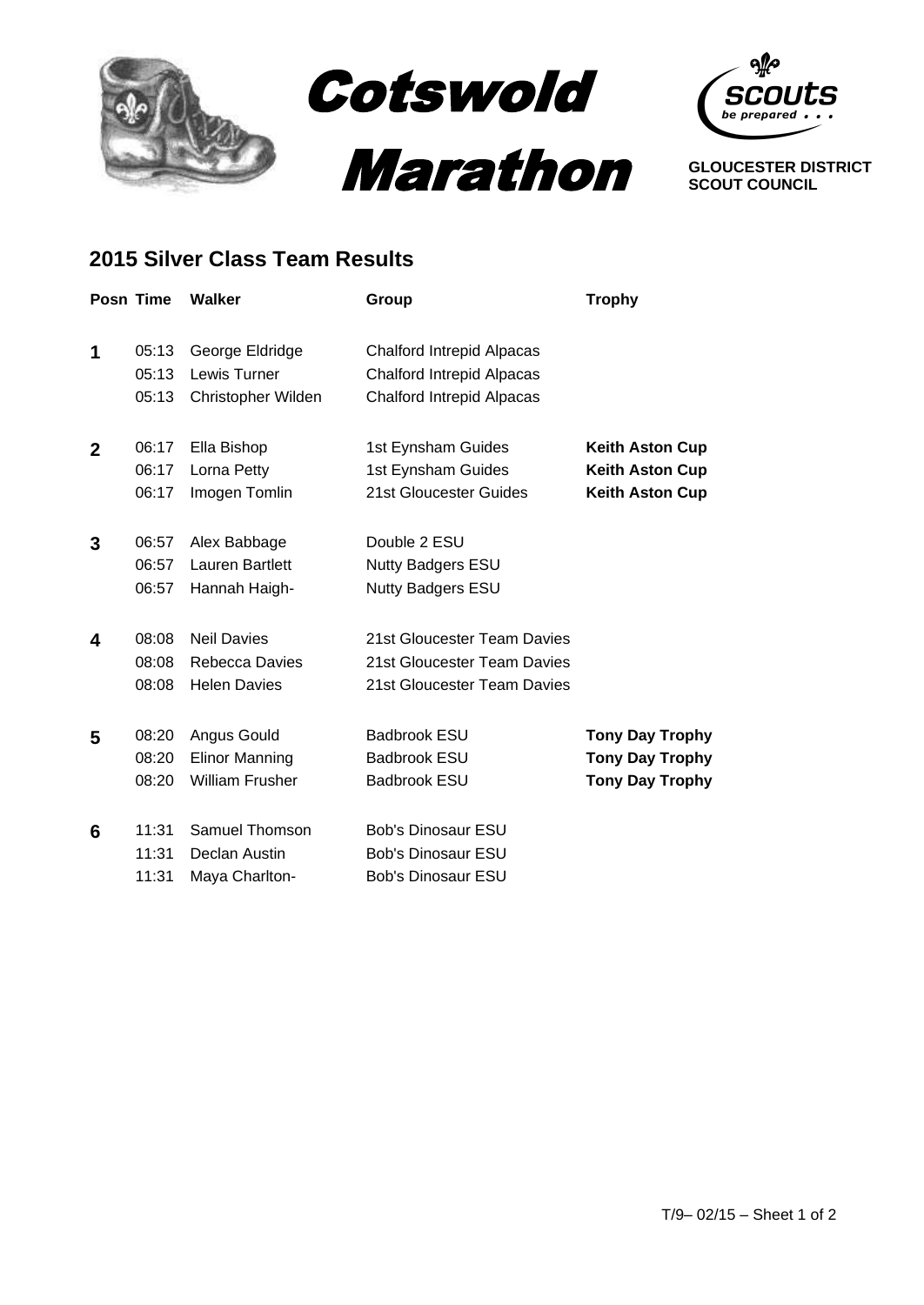



**GLOUCESTER DISTRICT SCOUT COUNCIL**

## **2015 Silver Class Team Results**

|                | <b>Posn Time</b> | <b>Walker</b>          | Group                            | <b>Trophy</b>          |
|----------------|------------------|------------------------|----------------------------------|------------------------|
|                |                  |                        |                                  |                        |
| 1              | 05:13            | George Eldridge        | <b>Chalford Intrepid Alpacas</b> |                        |
|                | 05:13            | Lewis Turner           | <b>Chalford Intrepid Alpacas</b> |                        |
|                | 05:13            | Christopher Wilden     | <b>Chalford Intrepid Alpacas</b> |                        |
| $\overline{2}$ | 06:17            | Ella Bishop            | 1st Eynsham Guides               | <b>Keith Aston Cup</b> |
|                | 06:17            | Lorna Petty            | 1st Eynsham Guides               | <b>Keith Aston Cup</b> |
|                | 06:17            | Imogen Tomlin          | 21st Gloucester Guides           | <b>Keith Aston Cup</b> |
| 3              | 06:57            | Alex Babbage           | Double 2 ESU                     |                        |
|                | 06:57            | Lauren Bartlett        | <b>Nutty Badgers ESU</b>         |                        |
|                | 06:57            | Hannah Haigh-          | <b>Nutty Badgers ESU</b>         |                        |
| 4              | 08:08            | <b>Neil Davies</b>     | 21st Gloucester Team Davies      |                        |
|                | 08:08            | <b>Rebecca Davies</b>  | 21st Gloucester Team Davies      |                        |
|                | 08:08            | <b>Helen Davies</b>    | 21st Gloucester Team Davies      |                        |
| 5              | 08:20            | Angus Gould            | <b>Badbrook ESU</b>              | <b>Tony Day Trophy</b> |
|                | 08:20            | <b>Elinor Manning</b>  | <b>Badbrook ESU</b>              | <b>Tony Day Trophy</b> |
|                | 08:20            | <b>William Frusher</b> | <b>Badbrook ESU</b>              | <b>Tony Day Trophy</b> |
| 6              | 11:31            | Samuel Thomson         | <b>Bob's Dinosaur ESU</b>        |                        |
|                | 11:31            | Declan Austin          | <b>Bob's Dinosaur ESU</b>        |                        |
|                | 11:31            | Maya Charlton-         | <b>Bob's Dinosaur ESU</b>        |                        |